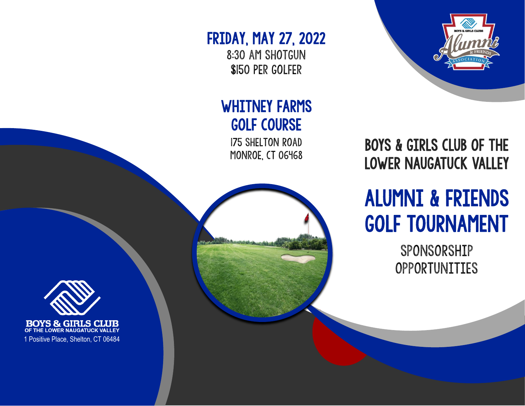

## FRIDAY, MAY 27, 2022

8:30 am shotgun \$150 per golfer

## WHITNEY FARMS GOLF COURSE

175 Shelton Road MONROE, CT 06468



## ALUMNI & FRIENDS GOLF TOURNAMENT

SPONSORSHIP OPPORTUNITIES